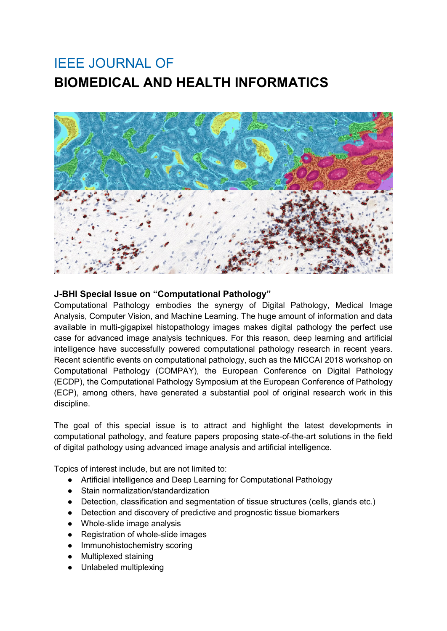## IEEE JOURNAL OF **BIOMEDICAL AND HEALTH INFORMATICS**



## **J-BHI Special Issue on "Computational Pathology"**

Computational Pathology embodies the synergy of Digital Pathology, Medical Image Analysis, Computer Vision, and Machine Learning. The huge amount of information and data available in multi-gigapixel histopathology images makes digital pathology the perfect use case for advanced image analysis techniques. For this reason, deep learning and artificial intelligence have successfully powered computational pathology research in recent years. Recent scientific events on computational pathology, such as the MICCAI 2018 workshop on Computational Pathology (COMPAY), the European Conference on Digital Pathology (ECDP), the Computational Pathology Symposium at the European Conference of Pathology (ECP), among others, have generated a substantial pool of original research work in this discipline.

The goal of this special issue is to attract and highlight the latest developments in computational pathology, and feature papers proposing state-of-the-art solutions in the field of digital pathology using advanced image analysis and artificial intelligence.

Topics of interest include, but are not limited to:

- Artificial intelligence and Deep Learning for Computational Pathology
- Stain normalization/standardization
- Detection, classification and segmentation of tissue structures (cells, glands etc.)
- Detection and discovery of predictive and prognostic tissue biomarkers
- Whole-slide image analysis
- Registration of whole-slide images
- Immunohistochemistry scoring
- **Multiplexed staining**
- Unlabeled multiplexing